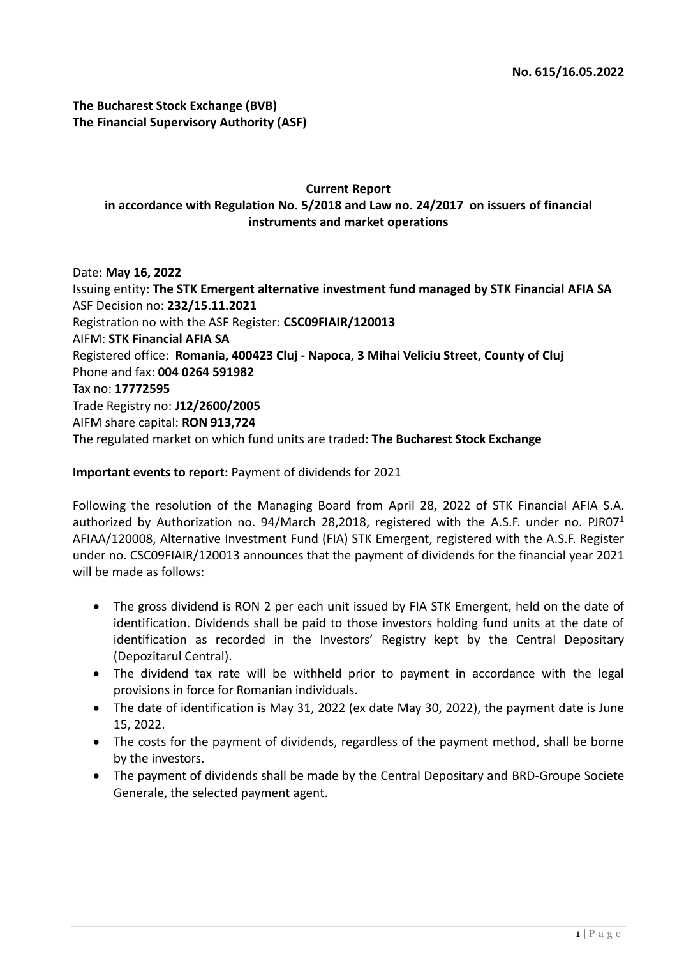**The Bucharest Stock Exchange (BVB) The Financial Supervisory Authority (ASF)**

#### **Current Report in accordance with Regulation No. 5/2018 and Law no. 24/2017 on issuers of financial instruments and market operations**

Date**: May 16, 2022** Issuing entity: **The STK Emergent alternative investment fund managed by STK Financial AFIA SA** ASF Decision no: **232/15.11.2021** Registration no with the ASF Register: **CSC09FIAIR/120013** AIFM: **STK Financial AFIA SA** Registered office: **Romania, 400423 Cluj - Napoca, 3 Mihai Veliciu Street, County of Cluj** Phone and fax: **004 0264 591982** Tax no: **17772595** Trade Registry no: **J12/2600/2005** AIFM share capital: **RON 913,724** The regulated market on which fund units are traded: **The Bucharest Stock Exchange**

#### **Important events to report:** Payment of dividends for 2021

Following the resolution of the Managing Board from April 28, 2022 of STK Financial AFIA S.A. authorized by Authorization no. 94/March 28,2018, registered with the A.S.F. under no. PJR07<sup>1</sup> AFIAA/120008, Alternative Investment Fund (FIA) STK Emergent, registered with the A.S.F. Register under no. CSC09FIAIR/120013 announces that the payment of dividends for the financial year 2021 will be made as follows:

- The gross dividend is RON 2 per each unit issued by FIA STK Emergent, held on the date of identification. Dividends shall be paid to those investors holding fund units at the date of identification as recorded in the Investors' Registry kept by the Central Depositary (Depozitarul Central).
- The dividend tax rate will be withheld prior to payment in accordance with the legal provisions in force for Romanian individuals.
- The date of identification is May 31, 2022 (ex date May 30, 2022), the payment date is June 15, 2022.
- The costs for the payment of dividends, regardless of the payment method, shall be borne by the investors.
- The payment of dividends shall be made by the Central Depositary and BRD-Groupe Societe Generale, the selected payment agent.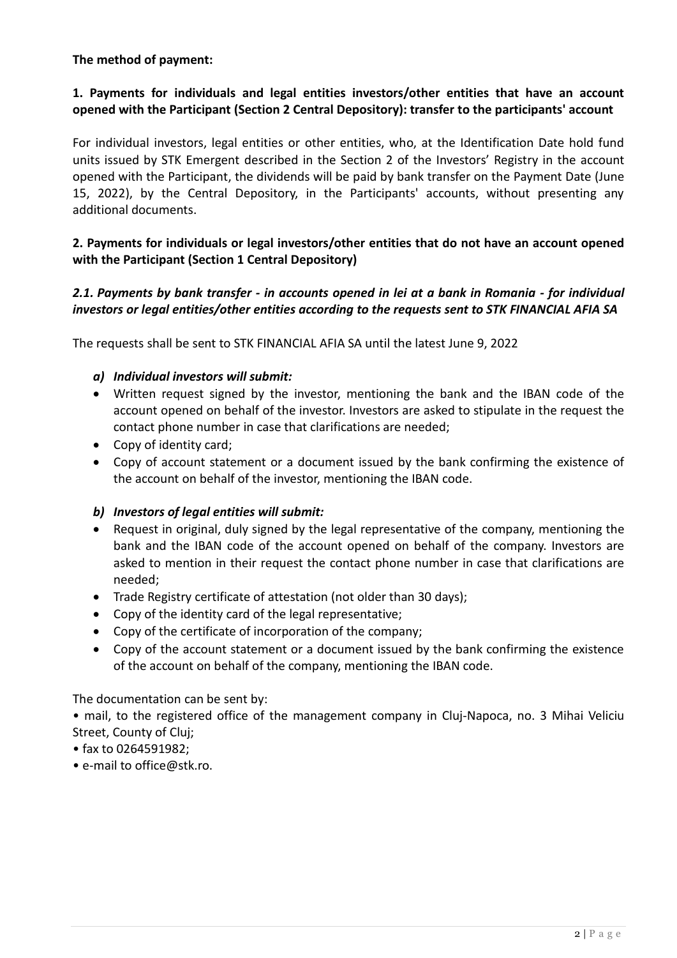#### **The method of payment:**

# **1. Payments for individuals and legal entities investors/other entities that have an account opened with the Participant (Section 2 Central Depository): transfer to the participants' account**

For individual investors, legal entities or other entities, who, at the Identification Date hold fund units issued by STK Emergent described in the Section 2 of the Investors' Registry in the account opened with the Participant, the dividends will be paid by bank transfer on the Payment Date (June 15, 2022), by the Central Depository, in the Participants' accounts, without presenting any additional documents.

## **2. Payments for individuals or legal investors/other entities that do not have an account opened with the Participant (Section 1 Central Depository)**

## *2.1. Payments by bank transfer - in accounts opened in lei at a bank in Romania - for individual investors or legal entities/other entities according to the requests sent to STK FINANCIAL AFIA SA*

The requests shall be sent to STK FINANCIAL AFIA SA until the latest June 9, 2022

#### *a) Individual investors will submit:*

- Written request signed by the investor, mentioning the bank and the IBAN code of the account opened on behalf of the investor. Investors are asked to stipulate in the request the contact phone number in case that clarifications are needed;
- Copy of identity card;
- Copy of account statement or a document issued by the bank confirming the existence of the account on behalf of the investor, mentioning the IBAN code.

#### *b) Investors of legal entities will submit:*

- Request in original, duly signed by the legal representative of the company, mentioning the bank and the IBAN code of the account opened on behalf of the company. Investors are asked to mention in their request the contact phone number in case that clarifications are needed;
- Trade Registry certificate of attestation (not older than 30 days);
- Copy of the identity card of the legal representative;
- Copy of the certificate of incorporation of the company;
- Copy of the account statement or a document issued by the bank confirming the existence of the account on behalf of the company, mentioning the IBAN code.

The documentation can be sent by:

• mail, to the registered office of the management company in Cluj-Napoca, no. 3 Mihai Veliciu Street, County of Cluj;

- fax to 0264591982;
- e-mail to office@stk.ro.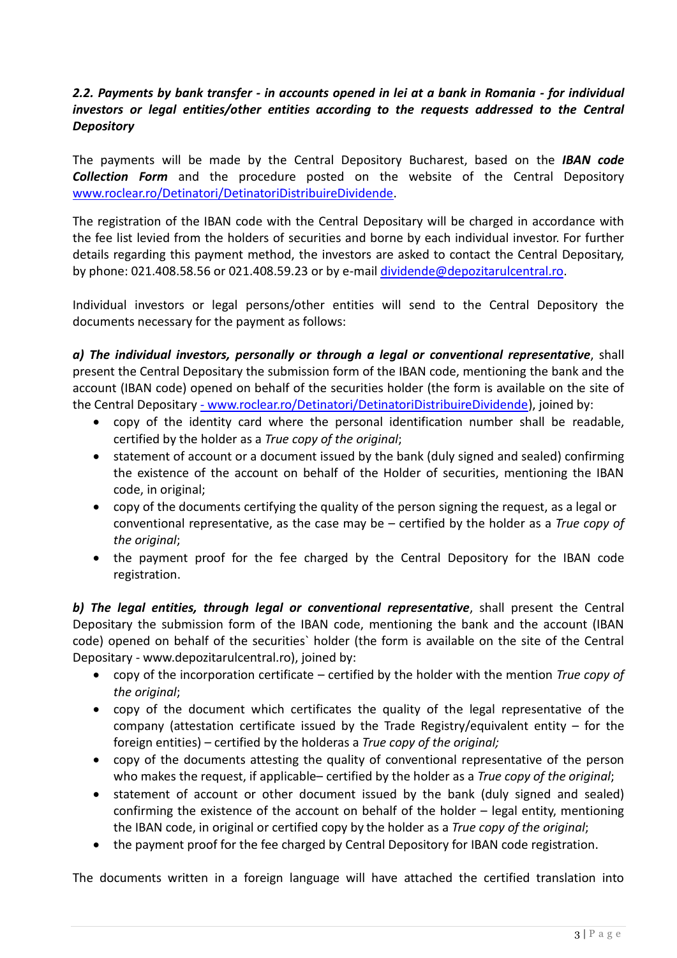# *2.2. Payments by bank transfer - in accounts opened in lei at a bank in Romania - for individual investors or legal entities/other entities according to the requests addressed to the Central Depository*

The payments will be made by the Central Depository Bucharest, based on the *IBAN code Collection Form* and the procedure posted on the website of the Central Depository [www.roclear.ro/Detinatori/DetinatoriDistribuireDividende.](www.roclear.ro/Detinatori/DetinatoriDistribuireDividende)

The registration of the IBAN code with the Central Depositary will be charged in accordance with the fee list levied from the holders of securities and borne by each individual investor. For further details regarding this payment method, the investors are asked to contact the Central Depositary, by phone: 021.408.58.56 or 021.408.59.23 or by e-mai[l dividende@depozitarulcentral.ro.](dividende@depozitarulcentral.ro)

Individual investors or legal persons/other entities will send to the Central Depository the documents necessary for the payment as follows:

*a) The individual investors, personally or through a legal or conventional representative*, shall present the Central Depositary the submission form of the IBAN code, mentioning the bank and the account (IBAN code) opened on behalf of the securities holder (the form is available on the site of the Central Depositary - [www.roclear.ro/Detinatori/DetinatoriDistribuireDividende\)](-%20www.roclear.ro/Detinatori/DetinatoriDistribuireDividende), joined by:

- copy of the identity card where the personal identification number shall be readable, certified by the holder as a *True copy of the original*;
- statement of account or a document issued by the bank (duly signed and sealed) confirming the existence of the account on behalf of the Holder of securities, mentioning the IBAN code, in original;
- copy of the documents certifying the quality of the person signing the request, as a legal or conventional representative, as the case may be – certified by the holder as a *True copy of the original*;
- the payment proof for the fee charged by the Central Depository for the IBAN code registration.

*b) The legal entities, through legal or conventional representative*, shall present the Central Depositary the submission form of the IBAN code, mentioning the bank and the account (IBAN code) opened on behalf of the securities` holder (the form is available on the site of the Central Depositary - www.depozitarulcentral.ro), joined by:

- copy of the incorporation certificate certified by the holder with the mention *True copy of the original*;
- copy of the document which certificates the quality of the legal representative of the company (attestation certificate issued by the Trade Registry/equivalent entity – for the foreign entities) – certified by the holderas a *True copy of the original;*
- copy of the documents attesting the quality of conventional representative of the person who makes the request, if applicable– certified by the holder as a *True copy of the original*;
- statement of account or other document issued by the bank (duly signed and sealed) confirming the existence of the account on behalf of the holder – legal entity, mentioning the IBAN code, in original or certified copy by the holder as a *True copy of the original*;
- the payment proof for the fee charged by Central Depository for IBAN code registration.

The documents written in a foreign language will have attached the certified translation into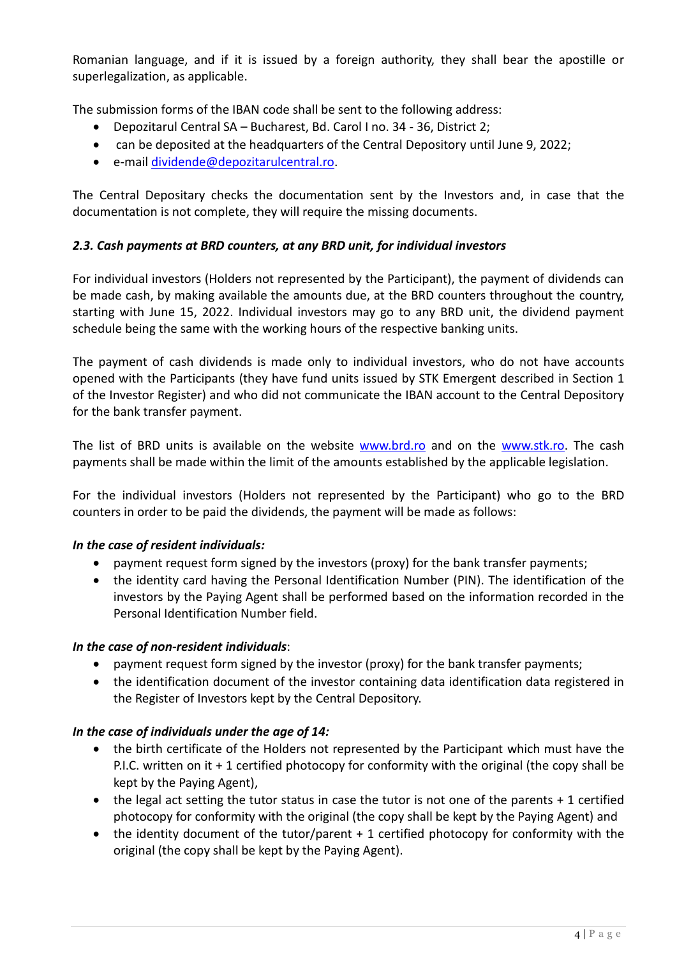Romanian language, and if it is issued by a foreign authority, they shall bear the apostille or superlegalization, as applicable.

The submission forms of the IBAN code shall be sent to the following address:

- Depozitarul Central SA Bucharest, Bd. Carol I no. 34 36, District 2;
- can be deposited at the headquarters of the Central Depository until June 9, 2022;
- e-mail [dividende@depozitarulcentral.ro.](dividende@depozitarulcentral.ro)

The Central Depositary checks the documentation sent by the Investors and, in case that the documentation is not complete, they will require the missing documents.

# *2.3. Cash payments at BRD counters, at any BRD unit, for individual investors*

For individual investors (Holders not represented by the Participant), the payment of dividends can be made cash, by making available the amounts due, at the BRD counters throughout the country, starting with June 15, 2022. Individual investors may go to any BRD unit, the dividend payment schedule being the same with the working hours of the respective banking units.

The payment of cash dividends is made only to individual investors, who do not have accounts opened with the Participants (they have fund units issued by STK Emergent described in Section 1 of the Investor Register) and who did not communicate the IBAN account to the Central Depository for the bank transfer payment.

The list of BRD units is available on the website [www.brd.ro](www.brd.ro%20) and on the [www.stk.ro.](www.stk.ro) The cash payments shall be made within the limit of the amounts established by the applicable legislation.

For the individual investors (Holders not represented by the Participant) who go to the BRD counters in order to be paid the dividends, the payment will be made as follows:

## *In the case of resident individuals:*

- payment request form signed by the investors (proxy) for the bank transfer payments;
- the identity card having the Personal Identification Number (PIN). The identification of the investors by the Paying Agent shall be performed based on the information recorded in the Personal Identification Number field.

## *In the case of non-resident individuals*:

- payment request form signed by the investor (proxy) for the bank transfer payments;
- the identification document of the investor containing data identification data registered in the Register of Investors kept by the Central Depository.

## *In the case of individuals under the age of 14:*

- the birth certificate of the Holders not represented by the Participant which must have the P.I.C. written on it + 1 certified photocopy for conformity with the original (the copy shall be kept by the Paying Agent),
- the legal act setting the tutor status in case the tutor is not one of the parents + 1 certified photocopy for conformity with the original (the copy shall be kept by the Paying Agent) and
- the identity document of the tutor/parent + 1 certified photocopy for conformity with the original (the copy shall be kept by the Paying Agent).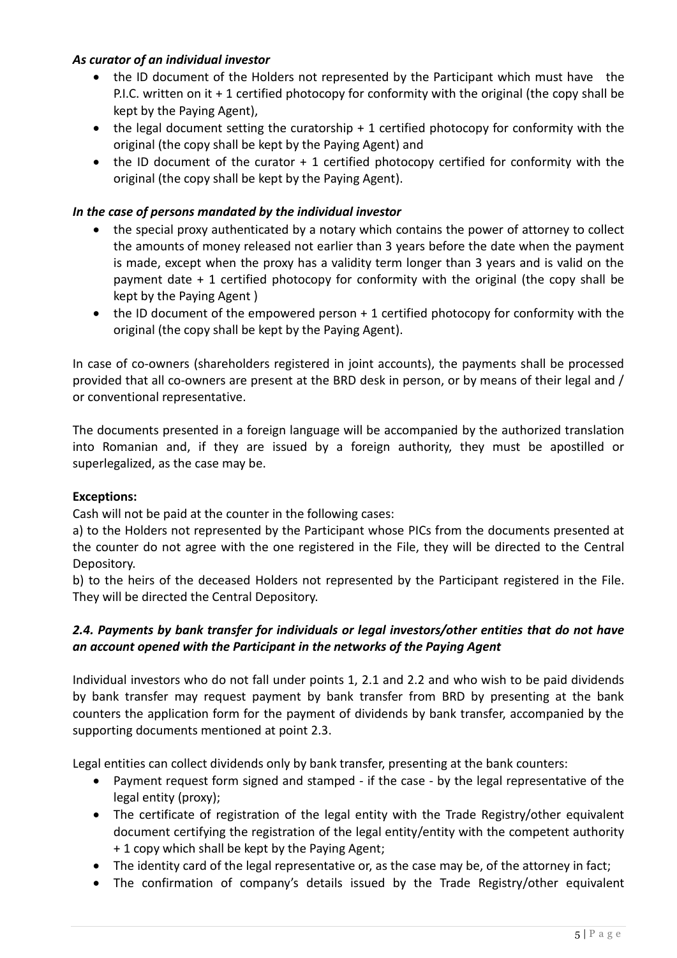## *As curator of an individual investor*

- the ID document of the Holders not represented by the Participant which must have the P.I.C. written on it + 1 certified photocopy for conformity with the original (the copy shall be kept by the Paying Agent),
- the legal document setting the curatorship + 1 certified photocopy for conformity with the original (the copy shall be kept by the Paying Agent) and
- the ID document of the curator + 1 certified photocopy certified for conformity with the original (the copy shall be kept by the Paying Agent).

# *In the case of persons mandated by the individual investor*

- the special proxy authenticated by a notary which contains the power of attorney to collect the amounts of money released not earlier than 3 years before the date when the payment is made, except when the proxy has a validity term longer than 3 years and is valid on the payment date + 1 certified photocopy for conformity with the original (the copy shall be kept by the Paying Agent )
- the ID document of the empowered person + 1 certified photocopy for conformity with the original (the copy shall be kept by the Paying Agent).

In case of co-owners (shareholders registered in joint accounts), the payments shall be processed provided that all co-owners are present at the BRD desk in person, or by means of their legal and / or conventional representative.

The documents presented in a foreign language will be accompanied by the authorized translation into Romanian and, if they are issued by a foreign authority, they must be apostilled or superlegalized, as the case may be.

## **Exceptions:**

Cash will not be paid at the counter in the following cases:

a) to the Holders not represented by the Participant whose PICs from the documents presented at the counter do not agree with the one registered in the File, they will be directed to the Central Depository.

b) to the heirs of the deceased Holders not represented by the Participant registered in the File. They will be directed the Central Depository.

# *2.4. Payments by bank transfer for individuals or legal investors/other entities that do not have an account opened with the Participant in the networks of the Paying Agent*

Individual investors who do not fall under points 1, 2.1 and 2.2 and who wish to be paid dividends by bank transfer may request payment by bank transfer from BRD by presenting at the bank counters the application form for the payment of dividends by bank transfer, accompanied by the supporting documents mentioned at point 2.3.

Legal entities can collect dividends only by bank transfer, presenting at the bank counters:

- Payment request form signed and stamped if the case by the legal representative of the legal entity (proxy);
- The certificate of registration of the legal entity with the Trade Registry/other equivalent document certifying the registration of the legal entity/entity with the competent authority + 1 copy which shall be kept by the Paying Agent;
- The identity card of the legal representative or, as the case may be, of the attorney in fact;
- The confirmation of company's details issued by the Trade Registry/other equivalent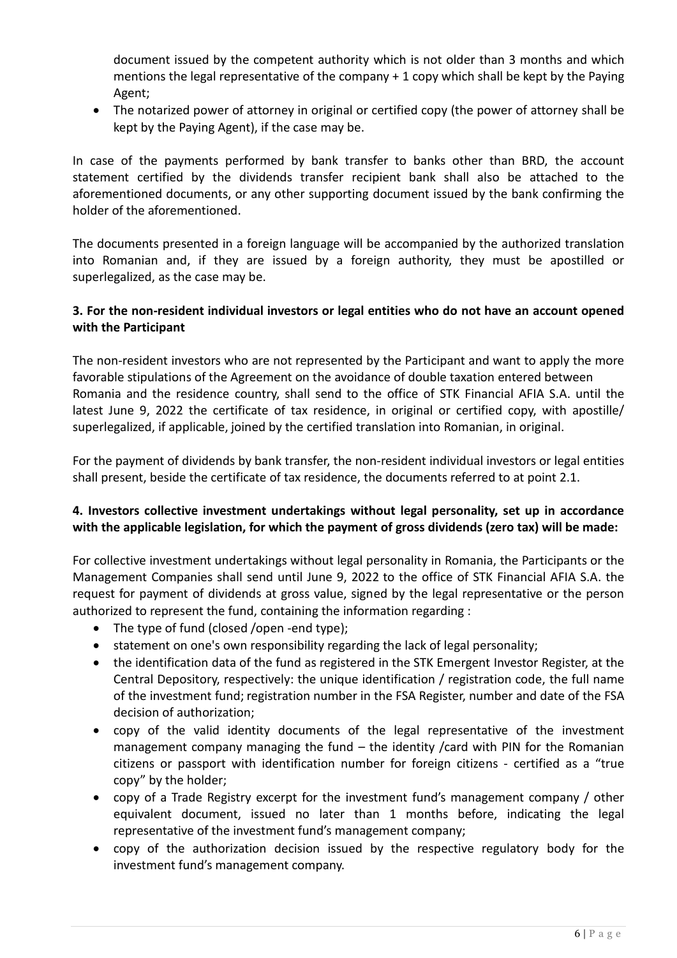document issued by the competent authority which is not older than 3 months and which mentions the legal representative of the company + 1 copy which shall be kept by the Paying Agent;

• The notarized power of attorney in original or certified copy (the power of attorney shall be kept by the Paying Agent), if the case may be.

In case of the payments performed by bank transfer to banks other than BRD, the account statement certified by the dividends transfer recipient bank shall also be attached to the aforementioned documents, or any other supporting document issued by the bank confirming the holder of the aforementioned.

The documents presented in a foreign language will be accompanied by the authorized translation into Romanian and, if they are issued by a foreign authority, they must be apostilled or superlegalized, as the case may be.

## **3. For the non-resident individual investors or legal entities who do not have an account opened with the Participant**

The non-resident investors who are not represented by the Participant and want to apply the more favorable stipulations of the Agreement on the avoidance of double taxation entered between Romania and the residence country, shall send to the office of STK Financial AFIA S.A. until the latest June 9, 2022 the certificate of tax residence, in original or certified copy, with apostille/ superlegalized, if applicable, joined by the certified translation into Romanian, in original.

For the payment of dividends by bank transfer, the non-resident individual investors or legal entities shall present, beside the certificate of tax residence, the documents referred to at point 2.1.

## **4. Investors collective investment undertakings without legal personality, set up in accordance with the applicable legislation, for which the payment of gross dividends (zero tax) will be made:**

For collective investment undertakings without legal personality in Romania, the Participants or the Management Companies shall send until June 9, 2022 to the office of STK Financial AFIA S.A. the request for payment of dividends at gross value, signed by the legal representative or the person authorized to represent the fund, containing the information regarding :

- The type of fund (closed /open -end type);
- statement on one's own responsibility regarding the lack of legal personality;
- the identification data of the fund as registered in the STK Emergent Investor Register, at the Central Depository, respectively: the unique identification / registration code, the full name of the investment fund; registration number in the FSA Register, number and date of the FSA decision of authorization;
- copy of the valid identity documents of the legal representative of the investment management company managing the fund – the identity /card with PIN for the Romanian citizens or passport with identification number for foreign citizens - certified as a "true copy" by the holder;
- copy of a Trade Registry excerpt for the investment fund's management company / other equivalent document, issued no later than 1 months before, indicating the legal representative of the investment fund's management company;
- copy of the authorization decision issued by the respective regulatory body for the investment fund's management company.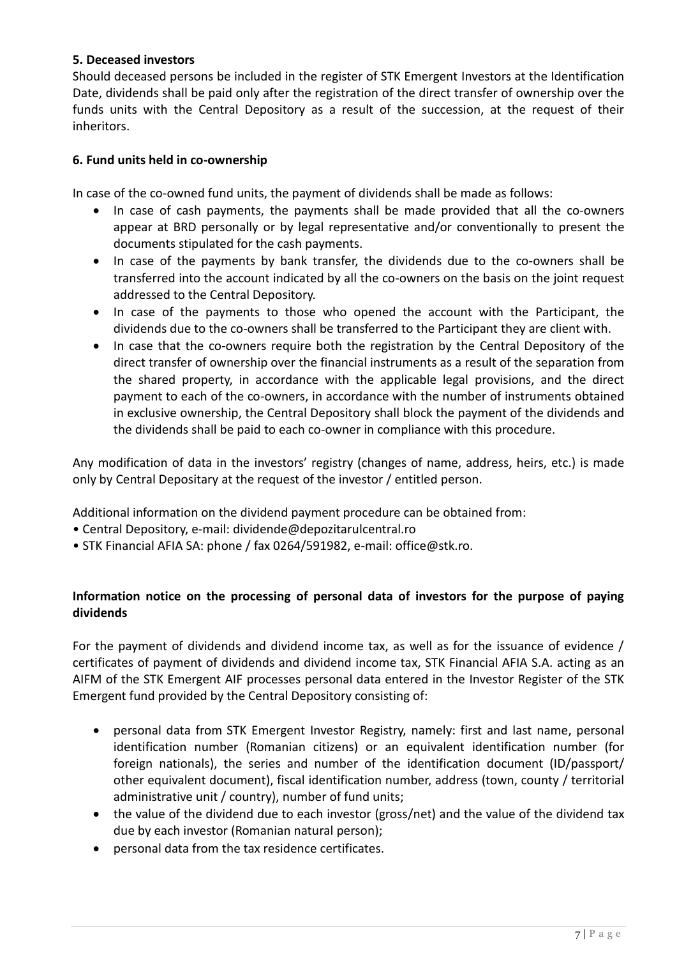## **5. Deceased investors**

Should deceased persons be included in the register of STK Emergent Investors at the Identification Date, dividends shall be paid only after the registration of the direct transfer of ownership over the funds units with the Central Depository as a result of the succession, at the request of their inheritors.

#### **6. Fund units held in co-ownership**

In case of the co-owned fund units, the payment of dividends shall be made as follows:

- In case of cash payments, the payments shall be made provided that all the co-owners appear at BRD personally or by legal representative and/or conventionally to present the documents stipulated for the cash payments.
- In case of the payments by bank transfer, the dividends due to the co-owners shall be transferred into the account indicated by all the co-owners on the basis on the joint request addressed to the Central Depository.
- In case of the payments to those who opened the account with the Participant, the dividends due to the co-owners shall be transferred to the Participant they are client with.
- In case that the co-owners require both the registration by the Central Depository of the direct transfer of ownership over the financial instruments as a result of the separation from the shared property, in accordance with the applicable legal provisions, and the direct payment to each of the co-owners, in accordance with the number of instruments obtained in exclusive ownership, the Central Depository shall block the payment of the dividends and the dividends shall be paid to each co-owner in compliance with this procedure.

Any modification of data in the investors' registry (changes of name, address, heirs, etc.) is made only by Central Depositary at the request of the investor / entitled person.

Additional information on the dividend payment procedure can be obtained from:

- Central Depository, e-mail: dividende@depozitarulcentral.ro
- STK Financial AFIA SA: phone / fax 0264/591982, e-mail: office@stk.ro.

## **Information notice on the processing of personal data of investors for the purpose of paying dividends**

For the payment of dividends and dividend income tax, as well as for the issuance of evidence / certificates of payment of dividends and dividend income tax, STK Financial AFIA S.A. acting as an AIFM of the STK Emergent AIF processes personal data entered in the Investor Register of the STK Emergent fund provided by the Central Depository consisting of:

- personal data from STK Emergent Investor Registry, namely: first and last name, personal identification number (Romanian citizens) or an equivalent identification number (for foreign nationals), the series and number of the identification document (ID/passport/ other equivalent document), fiscal identification number, address (town, county / territorial administrative unit / country), number of fund units;
- the value of the dividend due to each investor (gross/net) and the value of the dividend tax due by each investor (Romanian natural person);
- personal data from the tax residence certificates.